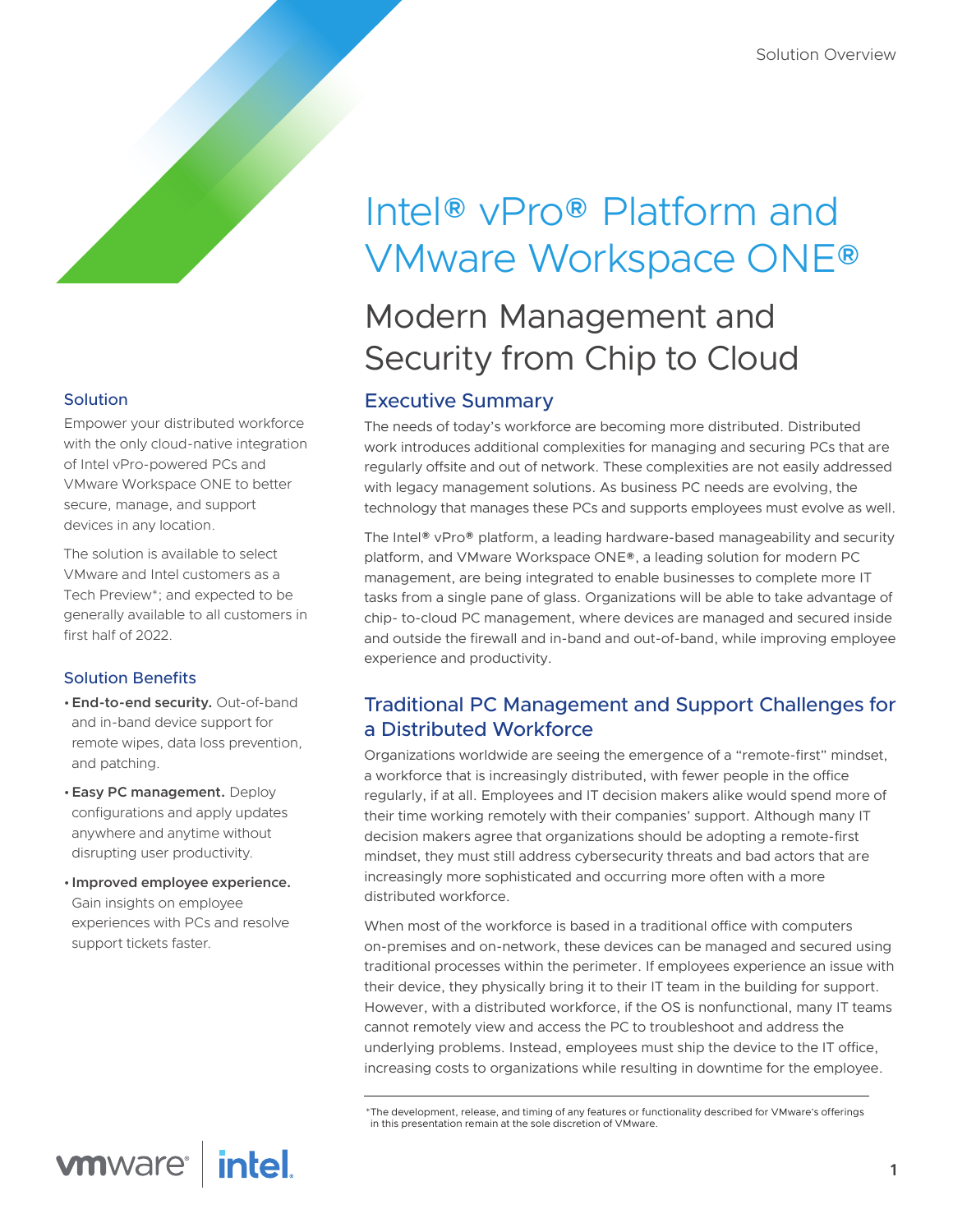#### Solution

Empower your distributed workforce with the only cloud-native integration of Intel vPro-powered PCs and VMware Workspace ONE to better secure, manage, and support devices in any location.

The solution is available to select VMware and Intel customers as a Tech Preview\*; and expected to be generally available to all customers in first half of 2022.

#### Solution Benefits

- •**End-to-end security.** Out-of-band and in-band device support for remote wipes, data loss prevention, and patching.
- •**Easy PC management.** Deploy configurations and apply updates anywhere and anytime without disrupting user productivity.
- **Improved employee experience.** Gain insights on employee experiences with PCs and resolve support tickets faster.

# Intel® vPro® Platform and VMware Workspace ONE®

## Modern Management and Security from Chip to Cloud

## Executive Summary

The needs of today's workforce are becoming more distributed. Distributed work introduces additional complexities for managing and securing PCs that are regularly offsite and out of network. These complexities are not easily addressed with legacy management solutions. As business PC needs are evolving, the technology that manages these PCs and supports employees must evolve as well.

The Intel® vPro® platform, a leading hardware-based manageability and security platform, and VMware Workspace ONE®, a leading solution for modern PC management, are being integrated to enable businesses to complete more IT tasks from a single pane of glass. Organizations will be able to take advantage of chip- to-cloud PC management, where devices are managed and secured inside and outside the firewall and in-band and out-of-band, while improving employee experience and productivity.

## Traditional PC Management and Support Challenges for a Distributed Workforce

Organizations worldwide are seeing the emergence of a "remote-first" mindset, a workforce that is increasingly distributed, with fewer people in the office regularly, if at all. Employees and IT decision makers alike would spend more of their time working remotely with their companies' support. Although many IT decision makers agree that organizations should be adopting a remote-first mindset, they must still address cybersecurity threats and bad actors that are increasingly more sophisticated and occurring more often with a more distributed workforce.

When most of the workforce is based in a traditional office with computers on-premises and on-network, these devices can be managed and secured using traditional processes within the perimeter. If employees experience an issue with their device, they physically bring it to their IT team in the building for support. However, with a distributed workforce, if the OS is nonfunctional, many IT teams cannot remotely view and access the PC to troubleshoot and address the underlying problems. Instead, employees must ship the device to the IT office, increasing costs to organizations while resulting in downtime for the employee.

<sup>\*</sup>The development, release, and timing of any features or functionality described for VMware's offerings in this presentation remain at the sole discretion of VMware.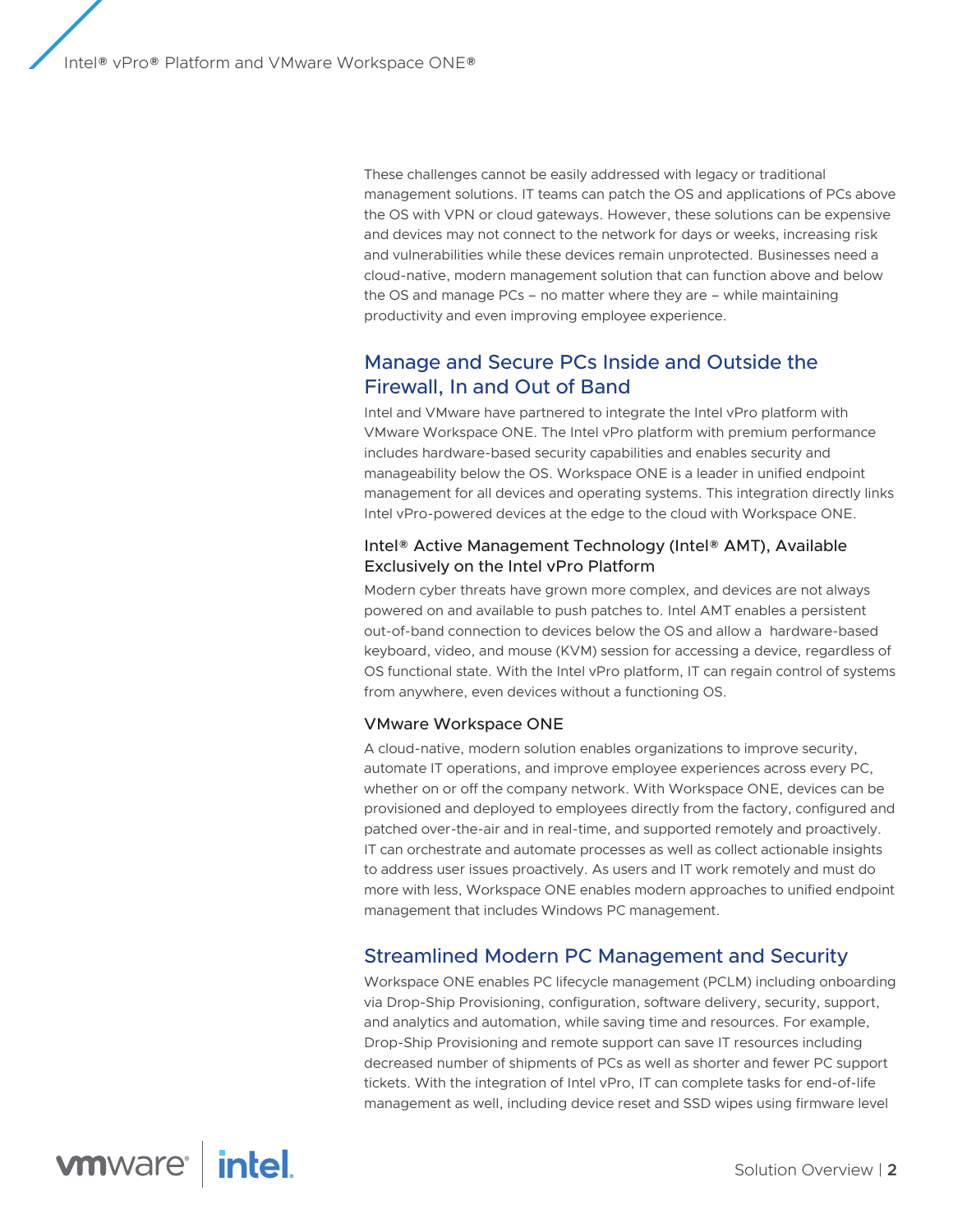These challenges cannot be easily addressed with legacy or traditional management solutions. IT teams can patch the OS and applications of PCs above the OS with VPN or cloud gateways. However, these solutions can be expensive and devices may not connect to the network for days or weeks, increasing risk and vulnerabilities while these devices remain unprotected. Businesses need a cloud-native, modern management solution that can function above and below the OS and manage PCs – no matter where they are – while maintaining productivity and even improving employee experience.

## Manage and Secure PCs Inside and Outside the Firewall, In and Out of Band

Intel and VMware have partnered to integrate the Intel vPro platform with VMware Workspace ONE. The Intel vPro platform with premium performance includes hardware-based security capabilities and enables security and manageability below the OS. Workspace ONE is a leader in unified endpoint management for all devices and operating systems. This integration directly links Intel vPro-powered devices at the edge to the cloud with Workspace ONE.

#### Intel® Active Management Technology (Intel® AMT), Available Exclusively on the Intel vPro Platform

Modern cyber threats have grown more complex, and devices are not always powered on and available to push patches to. Intel AMT enables a persistent out-of-band connection to devices below the OS and allow a hardware-based keyboard, video, and mouse (KVM) session for accessing a device, regardless of OS functional state. With the Intel vPro platform, IT can regain control of systems from anywhere, even devices without a functioning OS.

#### VMware Workspace ONE

A cloud-native, modern solution enables organizations to improve security, automate IT operations, and improve employee experiences across every PC, whether on or off the company network. With Workspace ONE, devices can be provisioned and deployed to employees directly from the factory, configured and patched over-the-air and in real-time, and supported remotely and proactively. IT can orchestrate and automate processes as well as collect actionable insights to address user issues proactively. As users and IT work remotely and must do more with less, Workspace ONE enables modern approaches to unified endpoint management that includes Windows PC management.

## Streamlined Modern PC Management and Security

Workspace ONE enables PC lifecycle management (PCLM) including onboarding via Drop-Ship Provisioning, configuration, software delivery, security, support, and analytics and automation, while saving time and resources. For example, Drop-Ship Provisioning and remote support can save IT resources including decreased number of shipments of PCs as well as shorter and fewer PC support tickets. With the integration of Intel vPro, IT can complete tasks for end-of-life management as well, including device reset and SSD wipes using firmware level

**intel vmware**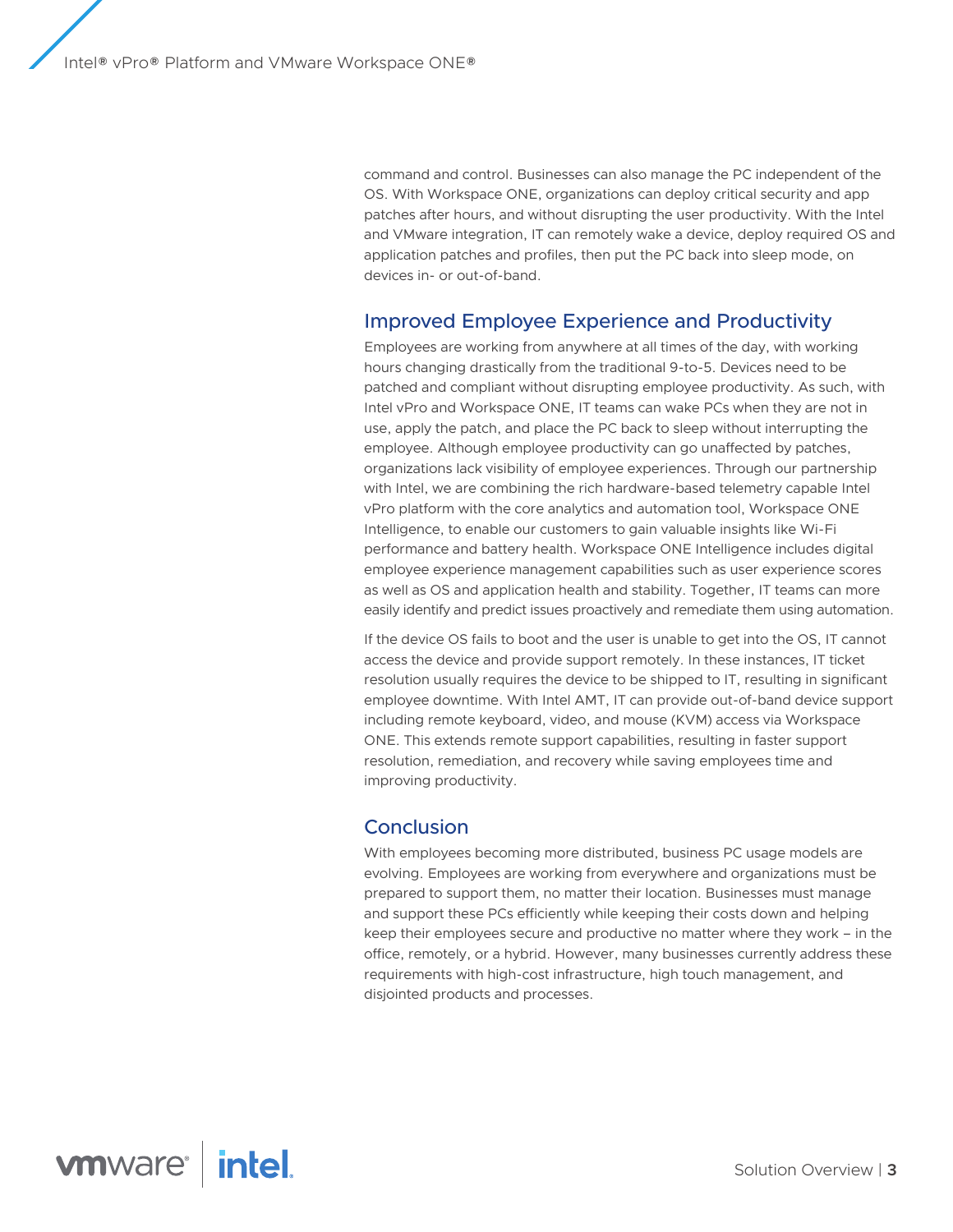command and control. Businesses can also manage the PC independent of the OS. With Workspace ONE, organizations can deploy critical security and app patches after hours, and without disrupting the user productivity. With the Intel and VMware integration, IT can remotely wake a device, deploy required OS and application patches and profiles, then put the PC back into sleep mode, on devices in- or out-of-band.

### Improved Employee Experience and Productivity

Employees are working from anywhere at all times of the day, with working hours changing drastically from the traditional 9-to-5. Devices need to be patched and compliant without disrupting employee productivity. As such, with Intel vPro and Workspace ONE, IT teams can wake PCs when they are not in use, apply the patch, and place the PC back to sleep without interrupting the employee. Although employee productivity can go unaffected by patches, organizations lack visibility of employee experiences. Through our partnership with Intel, we are combining the rich hardware-based telemetry capable Intel vPro platform with the core analytics and automation tool, Workspace ONE Intelligence, to enable our customers to gain valuable insights like Wi-Fi performance and battery health. Workspace ONE Intelligence includes digital employee experience management capabilities such as user experience scores as well as OS and application health and stability. Together, IT teams can more easily identify and predict issues proactively and remediate them using automation.

If the device OS fails to boot and the user is unable to get into the OS, IT cannot access the device and provide support remotely. In these instances, IT ticket resolution usually requires the device to be shipped to IT, resulting in significant employee downtime. With Intel AMT, IT can provide out-of-band device support including remote keyboard, video, and mouse (KVM) access via Workspace ONE. This extends remote support capabilities, resulting in faster support resolution, remediation, and recovery while saving employees time and improving productivity.

#### **Conclusion**

With employees becoming more distributed, business PC usage models are evolving. Employees are working from everywhere and organizations must be prepared to support them, no matter their location. Businesses must manage and support these PCs efficiently while keeping their costs down and helping keep their employees secure and productive no matter where they work – in the office, remotely, or a hybrid. However, many businesses currently address these requirements with high-cost infrastructure, high touch management, and disjointed products and processes.